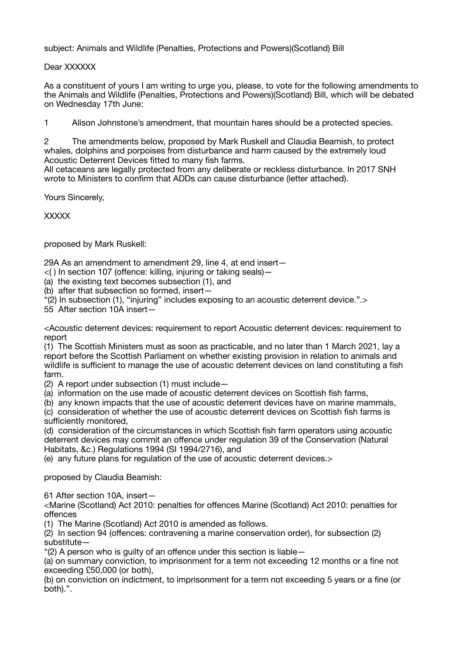subject: Animals and Wildlife (Penalties, Protections and Powers)(Scotland) Bill

Dear XXXXXX

As a constituent of yours I am writing to urge you, please, to vote for the following amendments to the Animals and Wildlife (Penalties, Protections and Powers)(Scotland) Bill, which will be debated on Wednesday 17th June:

1 Alison Johnstone's amendment, that mountain hares should be a protected species.

2 The amendments below, proposed by Mark Ruskell and Claudia Beamish, to protect whales, dolphins and porpoises from disturbance and harm caused by the extremely loud Acoustic Deterrent Devices fitted to many fish farms.

All cetaceans are legally protected from any deliberate or reckless disturbance. In 2017 SNH wrote to Ministers to confirm that ADDs can cause disturbance (letter attached).

Yours Sincerely,

**XXXXX** 

proposed by Mark Ruskell:

29A As an amendment to amendment 29, line 4, at end insert—

- $\langle$  ) In section 107 (offence: killing, injuring or taking seals) -
- (a) the existing text becomes subsection (1), and
- (b) after that subsection so formed, insert—
- "(2) In subsection (1), "injuring" includes exposing to an acoustic deterrent device.".>

55 After section 10A insert—

<Acoustic deterrent devices: requirement to report Acoustic deterrent devices: requirement to report

(1) The Scottish Ministers must as soon as practicable, and no later than 1 March 2021, lay a report before the Scottish Parliament on whether existing provision in relation to animals and wildlife is sufficient to manage the use of acoustic deterrent devices on land constituting a fish farm.

(2) A report under subsection (1) must include—

(a) information on the use made of acoustic deterrent devices on Scottish fish farms,

(b) any known impacts that the use of acoustic deterrent devices have on marine mammals,

(c) consideration of whether the use of acoustic deterrent devices on Scottish fish farms is sufficiently monitored.

(d) consideration of the circumstances in which Scottish fish farm operators using acoustic deterrent devices may commit an offence under regulation 39 of the Conservation (Natural Habitats, &c.) Regulations 1994 (SI 1994/2716), and

(e) any future plans for regulation of the use of acoustic deterrent devices.>

proposed by Claudia Beamish:

61 After section 10A, insert—

<Marine (Scotland) Act 2010: penalties for offences Marine (Scotland) Act 2010: penalties for offences

(1) The Marine (Scotland) Act 2010 is amended as follows.

(2) In section 94 (offences: contravening a marine conservation order), for subsection (2) substitute—

"(2) A person who is guilty of an offence under this section is liable—

(a) on summary conviction, to imprisonment for a term not exceeding 12 months or a fine not exceeding £50,000 (or both),

(b) on conviction on indictment, to imprisonment for a term not exceeding 5 years or a fine (or both).".